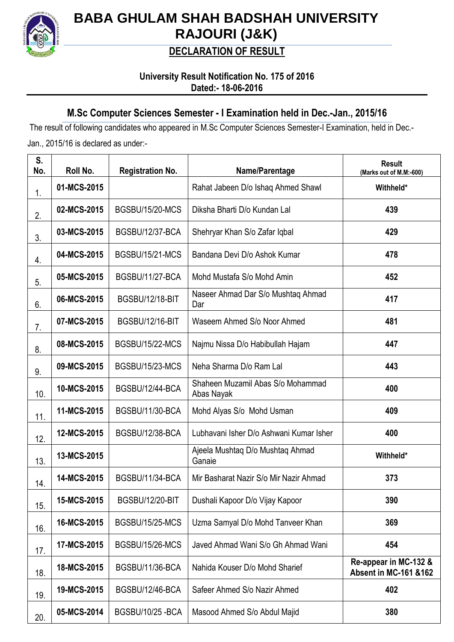

# **BABA GHULAM SHAH BADSHAH UNIVERSITY RAJOURI (J&K)**

## **DECLARATION OF RESULT**

### **University Result Notification No. 175 of 2016 Dated:- 18-06-2016**

### **M.Sc Computer Sciences Semester - I Examination held in Dec.-Jan., 2015/16**

The result of following candidates who appeared in M.Sc Computer Sciences Semester-I Examination, held in Dec.- Jan., 2015/16 is declared as under:-

| S.<br>No. | Roll No.    | <b>Registration No.</b> | Name/Parentage                                  | <b>Result</b><br>(Marks out of M.M:-600)                  |
|-----------|-------------|-------------------------|-------------------------------------------------|-----------------------------------------------------------|
| 1.        | 01-MCS-2015 |                         | Rahat Jabeen D/o Ishaq Ahmed Shawl              | Withheld*                                                 |
| 2.        | 02-MCS-2015 | <b>BGSBU/15/20-MCS</b>  | Diksha Bharti D/o Kundan Lal                    | 439                                                       |
| 3.        | 03-MCS-2015 | <b>BGSBU/12/37-BCA</b>  | Shehryar Khan S/o Zafar Iqbal                   | 429                                                       |
| 4.        | 04-MCS-2015 | <b>BGSBU/15/21-MCS</b>  | Bandana Devi D/o Ashok Kumar                    | 478                                                       |
| 5.        | 05-MCS-2015 | BGSBU/11/27-BCA         | Mohd Mustafa S/o Mohd Amin                      | 452                                                       |
| 6.        | 06-MCS-2015 | <b>BGSBU/12/18-BIT</b>  | Naseer Ahmad Dar S/o Mushtaq Ahmad<br>Dar       | 417                                                       |
| 7.        | 07-MCS-2015 | <b>BGSBU/12/16-BIT</b>  | Waseem Ahmed S/o Noor Ahmed                     | 481                                                       |
| 8.        | 08-MCS-2015 | <b>BGSBU/15/22-MCS</b>  | Najmu Nissa D/o Habibullah Hajam                | 447                                                       |
| 9.        | 09-MCS-2015 | <b>BGSBU/15/23-MCS</b>  | Neha Sharma D/o Ram Lal                         | 443                                                       |
| 10.       | 10-MCS-2015 | BGSBU/12/44-BCA         | Shaheen Muzamil Abas S/o Mohammad<br>Abas Nayak | 400                                                       |
| 11.       | 11-MCS-2015 | BGSBU/11/30-BCA         | Mohd Alyas S/o Mohd Usman                       | 409                                                       |
| 12.       | 12-MCS-2015 | <b>BGSBU/12/38-BCA</b>  | Lubhavani Isher D/o Ashwani Kumar Isher         | 400                                                       |
| 13.       | 13-MCS-2015 |                         | Ajeela Mushtaq D/o Mushtaq Ahmad<br>Ganaie      | Withheld*                                                 |
| 14.       | 14-MCS-2015 | BGSBU/11/34-BCA         | Mir Basharat Nazir S/o Mir Nazir Ahmad          | 373                                                       |
| 15.       | 15-MCS-2015 | BGSBU/12/20-BIT         | Dushali Kapoor D/o Vijay Kapoor                 | 390                                                       |
| 16.       | 16-MCS-2015 | <b>BGSBU/15/25-MCS</b>  | Uzma Samyal D/o Mohd Tanveer Khan               | 369                                                       |
| 17.       | 17-MCS-2015 | BGSBU/15/26-MCS         | Javed Ahmad Wani S/o Gh Ahmad Wani              | 454                                                       |
| 18.       | 18-MCS-2015 | BGSBU/11/36-BCA         | Nahida Kouser D/o Mohd Sharief                  | Re-appear in MC-132 &<br><b>Absent in MC-161 &amp;162</b> |
| 19.       | 19-MCS-2015 | BGSBU/12/46-BCA         | Safeer Ahmed S/o Nazir Ahmed                    | 402                                                       |
| 20.       | 05-MCS-2014 | BGSBU/10/25-BCA         | Masood Ahmed S/o Abdul Majid                    | 380                                                       |